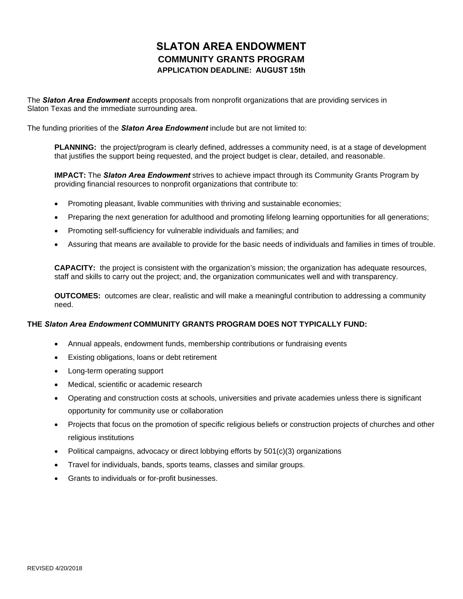## **SLATON AREA ENDOWMENT COMMUNITY GRANTS PROGRAM APPLICATION DEADLINE: AUGUST 15th**

The *Slaton Area Endowment* accepts proposals from nonprofit organizations that are providing services in Slaton Texas and the immediate surrounding area.

The funding priorities of the *Slaton Area Endowment* include but are not limited to:

**PLANNING:** the project/program is clearly defined, addresses a community need, is at a stage of development that justifies the support being requested, and the project budget is clear, detailed, and reasonable.

**IMPACT:** The *Slaton Area Endowment* strives to achieve impact through its Community Grants Program by providing financial resources to nonprofit organizations that contribute to:

- Promoting pleasant, livable communities with thriving and sustainable economies;
- Preparing the next generation for adulthood and promoting lifelong learning opportunities for all generations;
- Promoting self-sufficiency for vulnerable individuals and families; and
- Assuring that means are available to provide for the basic needs of individuals and families in times of trouble.

**CAPACITY:** the project is consistent with the organization's mission; the organization has adequate resources, staff and skills to carry out the project; and, the organization communicates well and with transparency.

**OUTCOMES:** outcomes are clear, realistic and will make a meaningful contribution to addressing a community need.

## **THE** *Slaton Area Endowment* **COMMUNITY GRANTS PROGRAM DOES NOT TYPICALLY FUND:**

- Annual appeals, endowment funds, membership contributions or fundraising events
- Existing obligations, loans or debt retirement
- Long-term operating support
- Medical, scientific or academic research
- Operating and construction costs at schools, universities and private academies unless there is significant opportunity for community use or collaboration
- Projects that focus on the promotion of specific religious beliefs or construction projects of churches and other religious institutions
- Political campaigns, advocacy or direct lobbying efforts by 501(c)(3) organizations
- Travel for individuals, bands, sports teams, classes and similar groups.
- Grants to individuals or for-profit businesses.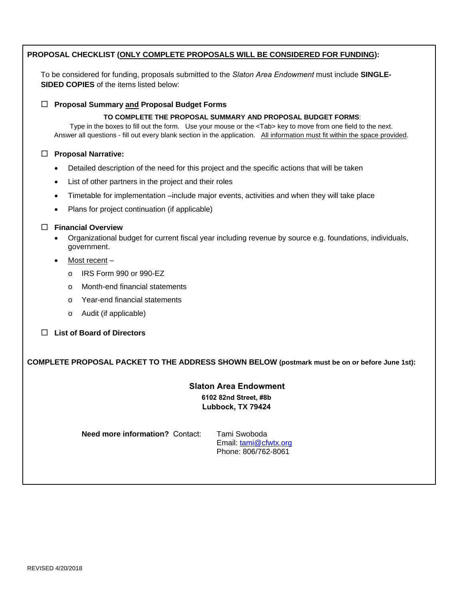| PROPOSAL CHECKLIST (ONLY COMPLETE PROPOSALS WILL BE CONSIDERED FOR FUNDING):                                                                                                                                                                                                                                                               |  |  |  |  |  |  |  |
|--------------------------------------------------------------------------------------------------------------------------------------------------------------------------------------------------------------------------------------------------------------------------------------------------------------------------------------------|--|--|--|--|--|--|--|
| To be considered for funding, proposals submitted to the Slaton Area Endowment must include SINGLE-<br>SIDED COPIES of the items listed below:                                                                                                                                                                                             |  |  |  |  |  |  |  |
| <b>Proposal Summary and Proposal Budget Forms</b><br>$\Box$                                                                                                                                                                                                                                                                                |  |  |  |  |  |  |  |
| TO COMPLETE THE PROPOSAL SUMMARY AND PROPOSAL BUDGET FORMS:<br>Type in the boxes to fill out the form. Use your mouse or the <tab> key to move from one field to the next.<br/>Answer all questions - fill out every blank section in the application. All information must fit within the space provided.</tab>                           |  |  |  |  |  |  |  |
| <b>Proposal Narrative:</b>                                                                                                                                                                                                                                                                                                                 |  |  |  |  |  |  |  |
| Detailed description of the need for this project and the specific actions that will be taken<br>$\bullet$                                                                                                                                                                                                                                 |  |  |  |  |  |  |  |
| List of other partners in the project and their roles<br>$\bullet$                                                                                                                                                                                                                                                                         |  |  |  |  |  |  |  |
| Timetable for implementation -include major events, activities and when they will take place<br>$\bullet$                                                                                                                                                                                                                                  |  |  |  |  |  |  |  |
| Plans for project continuation (if applicable)<br>$\bullet$                                                                                                                                                                                                                                                                                |  |  |  |  |  |  |  |
| <b>Financial Overview</b><br>Organizational budget for current fiscal year including revenue by source e.g. foundations, individuals,<br>government.<br>Most recent $-$<br>$\bullet$<br>IRS Form 990 or 990-EZ<br>O<br>Month-end financial statements<br>$\circ$<br>Year-end financial statements<br>O<br>Audit (if applicable)<br>$\circ$ |  |  |  |  |  |  |  |
| <b>List of Board of Directors</b>                                                                                                                                                                                                                                                                                                          |  |  |  |  |  |  |  |
| COMPLETE PROPOSAL PACKET TO THE ADDRESS SHOWN BELOW (postmark must be on or before June 1st):                                                                                                                                                                                                                                              |  |  |  |  |  |  |  |
| <b>Slaton Area Endowment</b><br>6102 82nd Street, #8b<br>Lubbock, TX 79424                                                                                                                                                                                                                                                                 |  |  |  |  |  |  |  |
| <b>Need more information? Contact:</b><br>Tami Swoboda<br>Email: tami@cfwtx.org<br>Phone: 806/762-8061                                                                                                                                                                                                                                     |  |  |  |  |  |  |  |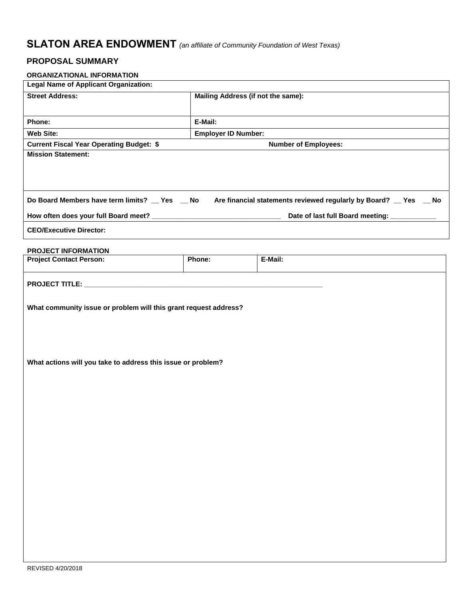## **SLATON AREA ENDOWMENT** *(an affiliate of Community Foundation of West Texas)*

## **PROPOSAL SUMMARY**

| ORGANIZATIONAL INFORMATION                                       |                                    |                                                                  |  |  |  |  |
|------------------------------------------------------------------|------------------------------------|------------------------------------------------------------------|--|--|--|--|
| <b>Legal Name of Applicant Organization:</b>                     |                                    |                                                                  |  |  |  |  |
| <b>Street Address:</b>                                           | Mailing Address (if not the same): |                                                                  |  |  |  |  |
|                                                                  |                                    |                                                                  |  |  |  |  |
| Phone:                                                           | E-Mail:                            |                                                                  |  |  |  |  |
| <b>Web Site:</b>                                                 | <b>Employer ID Number:</b>         |                                                                  |  |  |  |  |
| <b>Current Fiscal Year Operating Budget: \$</b>                  |                                    | <b>Number of Employees:</b>                                      |  |  |  |  |
| <b>Mission Statement:</b>                                        |                                    |                                                                  |  |  |  |  |
|                                                                  |                                    |                                                                  |  |  |  |  |
|                                                                  |                                    |                                                                  |  |  |  |  |
|                                                                  |                                    |                                                                  |  |  |  |  |
| Do Board Members have term limits? _ Yes _ No                    |                                    | Are financial statements reviewed regularly by Board? _ Yes _ No |  |  |  |  |
| How often does your full Board meet? _                           |                                    | Date of last full Board meeting:                                 |  |  |  |  |
| <b>CEO/Executive Director:</b>                                   |                                    |                                                                  |  |  |  |  |
|                                                                  |                                    |                                                                  |  |  |  |  |
| PROJECT INFORMATION                                              |                                    |                                                                  |  |  |  |  |
| <b>Project Contact Person:</b>                                   | Phone:                             | E-Mail:                                                          |  |  |  |  |
|                                                                  |                                    |                                                                  |  |  |  |  |
|                                                                  |                                    |                                                                  |  |  |  |  |
|                                                                  |                                    |                                                                  |  |  |  |  |
| What community issue or problem will this grant request address? |                                    |                                                                  |  |  |  |  |
|                                                                  |                                    |                                                                  |  |  |  |  |
|                                                                  |                                    |                                                                  |  |  |  |  |
|                                                                  |                                    |                                                                  |  |  |  |  |
|                                                                  |                                    |                                                                  |  |  |  |  |
| What actions will you take to address this issue or problem?     |                                    |                                                                  |  |  |  |  |
|                                                                  |                                    |                                                                  |  |  |  |  |
|                                                                  |                                    |                                                                  |  |  |  |  |
|                                                                  |                                    |                                                                  |  |  |  |  |
|                                                                  |                                    |                                                                  |  |  |  |  |
|                                                                  |                                    |                                                                  |  |  |  |  |
|                                                                  |                                    |                                                                  |  |  |  |  |
|                                                                  |                                    |                                                                  |  |  |  |  |
|                                                                  |                                    |                                                                  |  |  |  |  |
|                                                                  |                                    |                                                                  |  |  |  |  |
|                                                                  |                                    |                                                                  |  |  |  |  |
|                                                                  |                                    |                                                                  |  |  |  |  |
|                                                                  |                                    |                                                                  |  |  |  |  |
|                                                                  |                                    |                                                                  |  |  |  |  |
|                                                                  |                                    |                                                                  |  |  |  |  |
|                                                                  |                                    |                                                                  |  |  |  |  |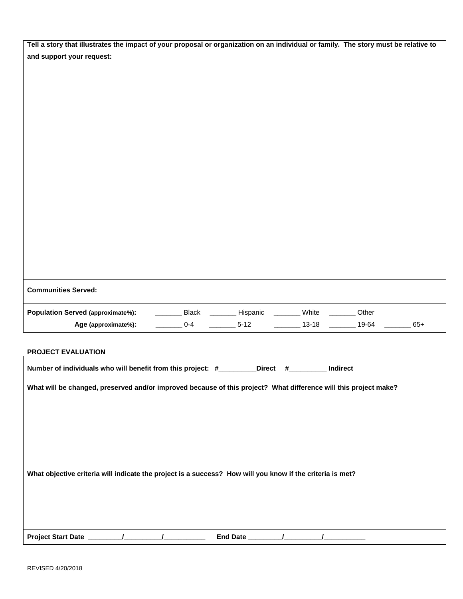| Tell a story that illustrates the impact of your proposal or organization on an individual or family. The story must be relative to |  |  |  |  |  |  |
|-------------------------------------------------------------------------------------------------------------------------------------|--|--|--|--|--|--|
| and support your request:                                                                                                           |  |  |  |  |  |  |
|                                                                                                                                     |  |  |  |  |  |  |
|                                                                                                                                     |  |  |  |  |  |  |
|                                                                                                                                     |  |  |  |  |  |  |
|                                                                                                                                     |  |  |  |  |  |  |
|                                                                                                                                     |  |  |  |  |  |  |
|                                                                                                                                     |  |  |  |  |  |  |
|                                                                                                                                     |  |  |  |  |  |  |
|                                                                                                                                     |  |  |  |  |  |  |
|                                                                                                                                     |  |  |  |  |  |  |
|                                                                                                                                     |  |  |  |  |  |  |
|                                                                                                                                     |  |  |  |  |  |  |
|                                                                                                                                     |  |  |  |  |  |  |
|                                                                                                                                     |  |  |  |  |  |  |
|                                                                                                                                     |  |  |  |  |  |  |
|                                                                                                                                     |  |  |  |  |  |  |
|                                                                                                                                     |  |  |  |  |  |  |
|                                                                                                                                     |  |  |  |  |  |  |
|                                                                                                                                     |  |  |  |  |  |  |
|                                                                                                                                     |  |  |  |  |  |  |
| <b>Communities Served:</b>                                                                                                          |  |  |  |  |  |  |
| <b>Population Served (approximate%):</b><br>__________ Black __________ Hispanic __________ White _________<br>Other                |  |  |  |  |  |  |
| $\frac{1}{2}$ 5-12<br>_________ 13-18 ________ 19-64<br>$0 - 4$<br>$65+$<br>Age (approximate%):                                     |  |  |  |  |  |  |
|                                                                                                                                     |  |  |  |  |  |  |
|                                                                                                                                     |  |  |  |  |  |  |
| PROJECT EVALUATION                                                                                                                  |  |  |  |  |  |  |
| Number of individuals who will benefit from this project: #_________Direct #________<br>Indirect                                    |  |  |  |  |  |  |
|                                                                                                                                     |  |  |  |  |  |  |
| What will be changed, preserved and/or improved because of this project? What difference will this project make?                    |  |  |  |  |  |  |
|                                                                                                                                     |  |  |  |  |  |  |
|                                                                                                                                     |  |  |  |  |  |  |
|                                                                                                                                     |  |  |  |  |  |  |
|                                                                                                                                     |  |  |  |  |  |  |
|                                                                                                                                     |  |  |  |  |  |  |
|                                                                                                                                     |  |  |  |  |  |  |
| What objective criteria will indicate the project is a success? How will you know if the criteria is met?                           |  |  |  |  |  |  |
|                                                                                                                                     |  |  |  |  |  |  |
|                                                                                                                                     |  |  |  |  |  |  |
|                                                                                                                                     |  |  |  |  |  |  |

| <b>Project Start Date</b> | Date |  |
|---------------------------|------|--|
|                           | -nc  |  |